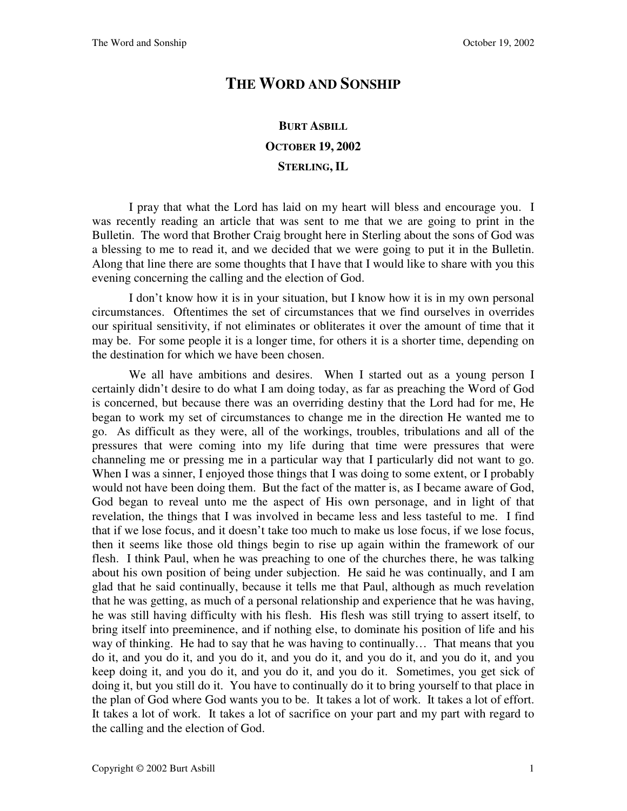## **THE WORD AND SONSHIP**

## **BURT ASBILL OCTOBER 19, 2002 STERLING, IL**

I pray that what the Lord has laid on my heart will bless and encourage you. I was recently reading an article that was sent to me that we are going to print in the Bulletin. The word that Brother Craig brought here in Sterling about the sons of God was a blessing to me to read it, and we decided that we were going to put it in the Bulletin. Along that line there are some thoughts that I have that I would like to share with you this evening concerning the calling and the election of God.

I don't know how it is in your situation, but I know how it is in my own personal circumstances. Oftentimes the set of circumstances that we find ourselves in overrides our spiritual sensitivity, if not eliminates or obliterates it over the amount of time that it may be. For some people it is a longer time, for others it is a shorter time, depending on the destination for which we have been chosen.

We all have ambitions and desires. When I started out as a young person I certainly didn't desire to do what I am doing today, as far as preaching the Word of God is concerned, but because there was an overriding destiny that the Lord had for me, He began to work my set of circumstances to change me in the direction He wanted me to go. As difficult as they were, all of the workings, troubles, tribulations and all of the pressures that were coming into my life during that time were pressures that were channeling me or pressing me in a particular way that I particularly did not want to go. When I was a sinner, I enjoyed those things that I was doing to some extent, or I probably would not have been doing them. But the fact of the matter is, as I became aware of God, God began to reveal unto me the aspect of His own personage, and in light of that revelation, the things that I was involved in became less and less tasteful to me. I find that if we lose focus, and it doesn't take too much to make us lose focus, if we lose focus, then it seems like those old things begin to rise up again within the framework of our flesh. I think Paul, when he was preaching to one of the churches there, he was talking about his own position of being under subjection. He said he was continually, and I am glad that he said continually, because it tells me that Paul, although as much revelation that he was getting, as much of a personal relationship and experience that he was having, he was still having difficulty with his flesh. His flesh was still trying to assert itself, to bring itself into preeminence, and if nothing else, to dominate his position of life and his way of thinking. He had to say that he was having to continually… That means that you do it, and you do it, and you do it, and you do it, and you do it, and you do it, and you keep doing it, and you do it, and you do it, and you do it. Sometimes, you get sick of doing it, but you still do it. You have to continually do it to bring yourself to that place in the plan of God where God wants you to be. It takes a lot of work. It takes a lot of effort. It takes a lot of work. It takes a lot of sacrifice on your part and my part with regard to the calling and the election of God.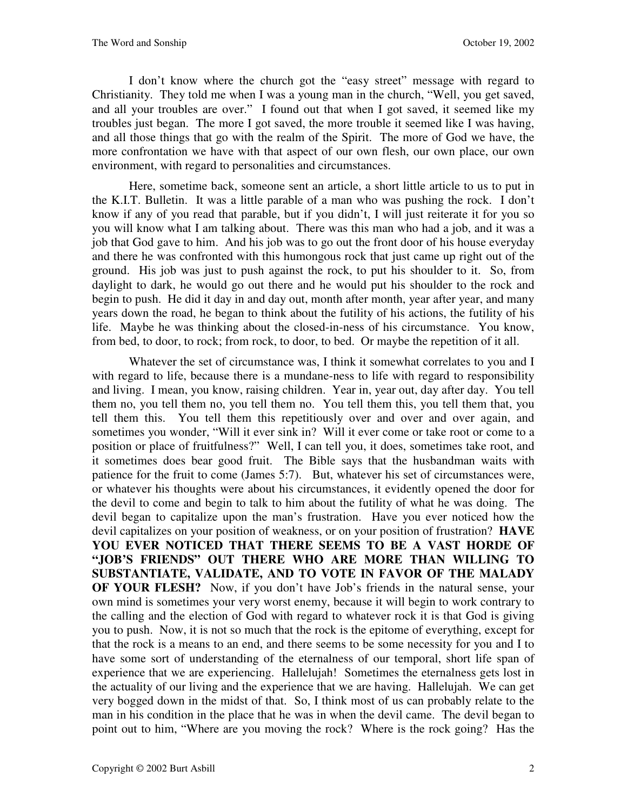I don't know where the church got the "easy street" message with regard to Christianity. They told me when I was a young man in the church, "Well, you get saved, and all your troubles are over." I found out that when I got saved, it seemed like my troubles just began. The more I got saved, the more trouble it seemed like I was having, and all those things that go with the realm of the Spirit. The more of God we have, the more confrontation we have with that aspect of our own flesh, our own place, our own environment, with regard to personalities and circumstances.

Here, sometime back, someone sent an article, a short little article to us to put in the K.I.T. Bulletin. It was a little parable of a man who was pushing the rock. I don't know if any of you read that parable, but if you didn't, I will just reiterate it for you so you will know what I am talking about. There was this man who had a job, and it was a job that God gave to him. And his job was to go out the front door of his house everyday and there he was confronted with this humongous rock that just came up right out of the ground. His job was just to push against the rock, to put his shoulder to it. So, from daylight to dark, he would go out there and he would put his shoulder to the rock and begin to push. He did it day in and day out, month after month, year after year, and many years down the road, he began to think about the futility of his actions, the futility of his life. Maybe he was thinking about the closed-in-ness of his circumstance. You know, from bed, to door, to rock; from rock, to door, to bed. Or maybe the repetition of it all.

Whatever the set of circumstance was, I think it somewhat correlates to you and I with regard to life, because there is a mundane-ness to life with regard to responsibility and living. I mean, you know, raising children. Year in, year out, day after day. You tell them no, you tell them no, you tell them no. You tell them this, you tell them that, you tell them this. You tell them this repetitiously over and over and over again, and sometimes you wonder, "Will it ever sink in? Will it ever come or take root or come to a position or place of fruitfulness?" Well, I can tell you, it does, sometimes take root, and it sometimes does bear good fruit. The Bible says that the husbandman waits with patience for the fruit to come (James 5:7). But, whatever his set of circumstances were, or whatever his thoughts were about his circumstances, it evidently opened the door for the devil to come and begin to talk to him about the futility of what he was doing. The devil began to capitalize upon the man's frustration. Have you ever noticed how the devil capitalizes on your position of weakness, or on your position of frustration? **HAVE YOU EVER NOTICED THAT THERE SEEMS TO BE A VAST HORDE OF "JOB'S FRIENDS" OUT THERE WHO ARE MORE THAN WILLING TO SUBSTANTIATE, VALIDATE, AND TO VOTE IN FAVOR OF THE MALADY OF YOUR FLESH?** Now, if you don't have Job's friends in the natural sense, your own mind is sometimes your very worst enemy, because it will begin to work contrary to the calling and the election of God with regard to whatever rock it is that God is giving you to push. Now, it is not so much that the rock is the epitome of everything, except for that the rock is a means to an end, and there seems to be some necessity for you and I to have some sort of understanding of the eternalness of our temporal, short life span of experience that we are experiencing. Hallelujah! Sometimes the eternalness gets lost in the actuality of our living and the experience that we are having. Hallelujah. We can get very bogged down in the midst of that. So, I think most of us can probably relate to the man in his condition in the place that he was in when the devil came. The devil began to point out to him, "Where are you moving the rock? Where is the rock going? Has the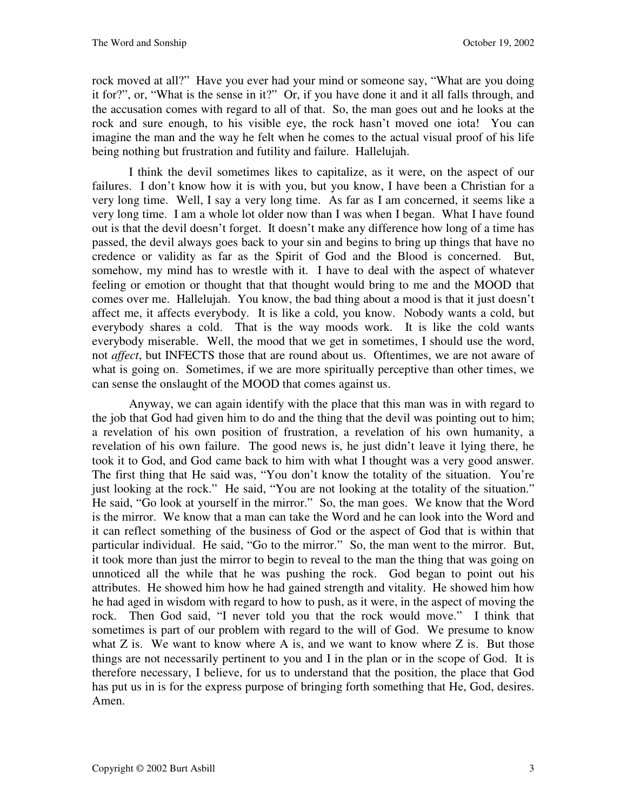rock moved at all?" Have you ever had your mind or someone say, "What are you doing it for?", or, "What is the sense in it?" Or, if you have done it and it all falls through, and the accusation comes with regard to all of that. So, the man goes out and he looks at the rock and sure enough, to his visible eye, the rock hasn't moved one iota! You can imagine the man and the way he felt when he comes to the actual visual proof of his life being nothing but frustration and futility and failure. Hallelujah.

I think the devil sometimes likes to capitalize, as it were, on the aspect of our failures. I don't know how it is with you, but you know, I have been a Christian for a very long time. Well, I say a very long time. As far as I am concerned, it seems like a very long time. I am a whole lot older now than I was when I began. What I have found out is that the devil doesn't forget. It doesn't make any difference how long of a time has passed, the devil always goes back to your sin and begins to bring up things that have no credence or validity as far as the Spirit of God and the Blood is concerned. But, somehow, my mind has to wrestle with it. I have to deal with the aspect of whatever feeling or emotion or thought that that thought would bring to me and the MOOD that comes over me. Hallelujah. You know, the bad thing about a mood is that it just doesn't affect me, it affects everybody. It is like a cold, you know. Nobody wants a cold, but everybody shares a cold. That is the way moods work. It is like the cold wants everybody miserable. Well, the mood that we get in sometimes, I should use the word, not *affect*, but INFECTS those that are round about us. Oftentimes, we are not aware of what is going on. Sometimes, if we are more spiritually perceptive than other times, we can sense the onslaught of the MOOD that comes against us.

Anyway, we can again identify with the place that this man was in with regard to the job that God had given him to do and the thing that the devil was pointing out to him; a revelation of his own position of frustration, a revelation of his own humanity, a revelation of his own failure. The good news is, he just didn't leave it lying there, he took it to God, and God came back to him with what I thought was a very good answer. The first thing that He said was, "You don't know the totality of the situation. You're just looking at the rock." He said, "You are not looking at the totality of the situation." He said, "Go look at yourself in the mirror." So, the man goes. We know that the Word is the mirror. We know that a man can take the Word and he can look into the Word and it can reflect something of the business of God or the aspect of God that is within that particular individual. He said, "Go to the mirror." So, the man went to the mirror. But, it took more than just the mirror to begin to reveal to the man the thing that was going on unnoticed all the while that he was pushing the rock. God began to point out his attributes. He showed him how he had gained strength and vitality. He showed him how he had aged in wisdom with regard to how to push, as it were, in the aspect of moving the rock. Then God said, "I never told you that the rock would move." I think that sometimes is part of our problem with regard to the will of God. We presume to know what  $Z$  is. We want to know where  $A$  is, and we want to know where  $Z$  is. But those things are not necessarily pertinent to you and I in the plan or in the scope of God. It is therefore necessary, I believe, for us to understand that the position, the place that God has put us in is for the express purpose of bringing forth something that He, God, desires. Amen.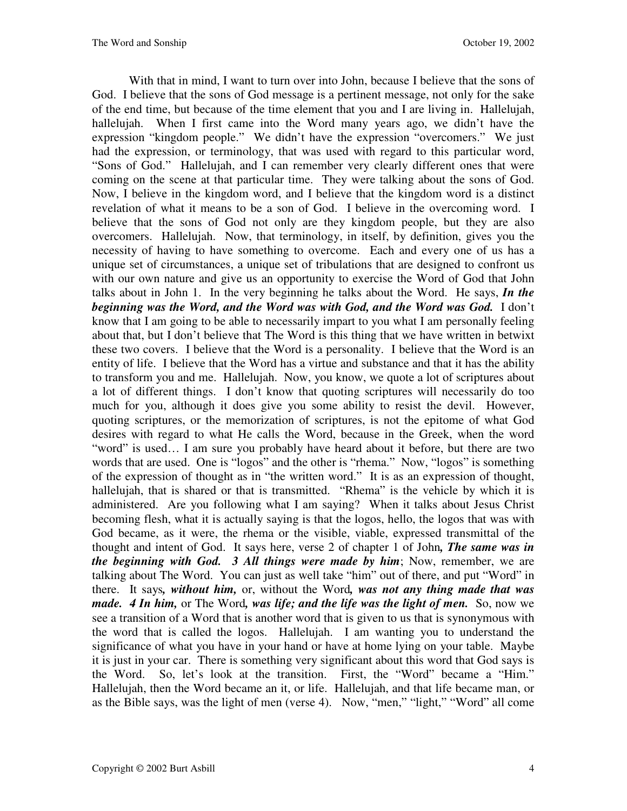With that in mind, I want to turn over into John, because I believe that the sons of God. I believe that the sons of God message is a pertinent message, not only for the sake of the end time, but because of the time element that you and I are living in. Hallelujah, hallelujah. When I first came into the Word many years ago, we didn't have the expression "kingdom people." We didn't have the expression "overcomers." We just had the expression, or terminology, that was used with regard to this particular word, "Sons of God." Hallelujah, and I can remember very clearly different ones that were coming on the scene at that particular time. They were talking about the sons of God. Now, I believe in the kingdom word, and I believe that the kingdom word is a distinct revelation of what it means to be a son of God. I believe in the overcoming word. I believe that the sons of God not only are they kingdom people, but they are also overcomers. Hallelujah. Now, that terminology, in itself, by definition, gives you the necessity of having to have something to overcome. Each and every one of us has a unique set of circumstances, a unique set of tribulations that are designed to confront us with our own nature and give us an opportunity to exercise the Word of God that John talks about in John 1. In the very beginning he talks about the Word. He says, *In the beginning was the Word, and the Word was with God, and the Word was God.* I don't know that I am going to be able to necessarily impart to you what I am personally feeling about that, but I don't believe that The Word is this thing that we have written in betwixt these two covers. I believe that the Word is a personality. I believe that the Word is an entity of life. I believe that the Word has a virtue and substance and that it has the ability to transform you and me. Hallelujah. Now, you know, we quote a lot of scriptures about a lot of different things. I don't know that quoting scriptures will necessarily do too much for you, although it does give you some ability to resist the devil. However, quoting scriptures, or the memorization of scriptures, is not the epitome of what God desires with regard to what He calls the Word, because in the Greek, when the word "word" is used… I am sure you probably have heard about it before, but there are two words that are used. One is "logos" and the other is "rhema." Now, "logos" is something of the expression of thought as in "the written word." It is as an expression of thought, hallelujah, that is shared or that is transmitted. "Rhema" is the vehicle by which it is administered. Are you following what I am saying? When it talks about Jesus Christ becoming flesh, what it is actually saying is that the logos, hello, the logos that was with God became, as it were, the rhema or the visible, viable, expressed transmittal of the thought and intent of God. It says here, verse 2 of chapter 1 of John*, The same was in the beginning with God. 3 All things were made by him*; Now, remember, we are talking about The Word. You can just as well take "him" out of there, and put "Word" in there. It says*, without him,* or, without the Word*, was not any thing made that was made. 4 In him,* or The Word*, was life; and the life was the light of men.* So, now we see a transition of a Word that is another word that is given to us that is synonymous with the word that is called the logos. Hallelujah. I am wanting you to understand the significance of what you have in your hand or have at home lying on your table. Maybe it is just in your car. There is something very significant about this word that God says is the Word. So, let's look at the transition. First, the "Word" became a "Him." Hallelujah, then the Word became an it, or life. Hallelujah, and that life became man, or as the Bible says, was the light of men (verse 4). Now, "men," "light," "Word" all come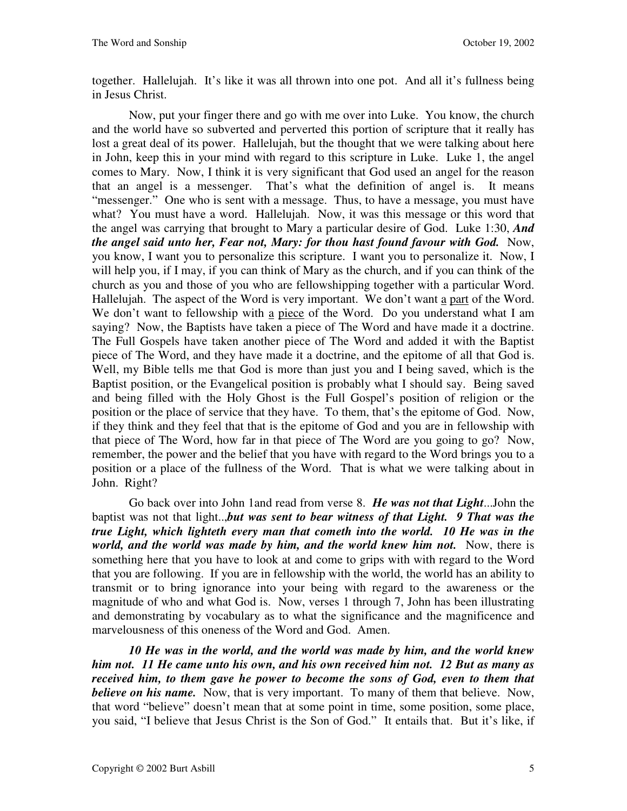together. Hallelujah. It's like it was all thrown into one pot. And all it's fullness being in Jesus Christ.

Now, put your finger there and go with me over into Luke. You know, the church and the world have so subverted and perverted this portion of scripture that it really has lost a great deal of its power. Hallelujah, but the thought that we were talking about here in John, keep this in your mind with regard to this scripture in Luke. Luke 1, the angel comes to Mary. Now, I think it is very significant that God used an angel for the reason that an angel is a messenger. That's what the definition of angel is. It means "messenger." One who is sent with a message. Thus, to have a message, you must have what? You must have a word. Hallelujah. Now, it was this message or this word that the angel was carrying that brought to Mary a particular desire of God. Luke 1:30, *And the angel said unto her, Fear not, Mary: for thou hast found favour with God. Now,* you know, I want you to personalize this scripture. I want you to personalize it. Now, I will help you, if I may, if you can think of Mary as the church, and if you can think of the church as you and those of you who are fellowshipping together with a particular Word. Hallelujah. The aspect of the Word is very important. We don't want a part of the Word. We don't want to fellowship with a piece of the Word. Do you understand what I am saying? Now, the Baptists have taken a piece of The Word and have made it a doctrine. The Full Gospels have taken another piece of The Word and added it with the Baptist piece of The Word, and they have made it a doctrine, and the epitome of all that God is. Well, my Bible tells me that God is more than just you and I being saved, which is the Baptist position, or the Evangelical position is probably what I should say. Being saved and being filled with the Holy Ghost is the Full Gospel's position of religion or the position or the place of service that they have. To them, that's the epitome of God. Now, if they think and they feel that that is the epitome of God and you are in fellowship with that piece of The Word, how far in that piece of The Word are you going to go? Now, remember, the power and the belief that you have with regard to the Word brings you to a position or a place of the fullness of the Word. That is what we were talking about in John. Right?

Go back over into John 1and read from verse 8. *He was not that Light*...John the baptist was not that light..,*but was sent to bear witness of that Light. 9 That was the true Light, which lighteth every man that cometh into the world. 10 He was in the world, and the world was made by him, and the world knew him not.* Now, there is something here that you have to look at and come to grips with with regard to the Word that you are following. If you are in fellowship with the world, the world has an ability to transmit or to bring ignorance into your being with regard to the awareness or the magnitude of who and what God is. Now, verses 1 through 7, John has been illustrating and demonstrating by vocabulary as to what the significance and the magnificence and marvelousness of this oneness of the Word and God. Amen.

*10 He was in the world, and the world was made by him, and the world knew him not. 11 He came unto his own, and his own received him not. 12 But as many as received him, to them gave he power to become the sons of God, even to them that believe on his name.* Now, that is very important. To many of them that believe. Now, that word "believe" doesn't mean that at some point in time, some position, some place, you said, "I believe that Jesus Christ is the Son of God." It entails that. But it's like, if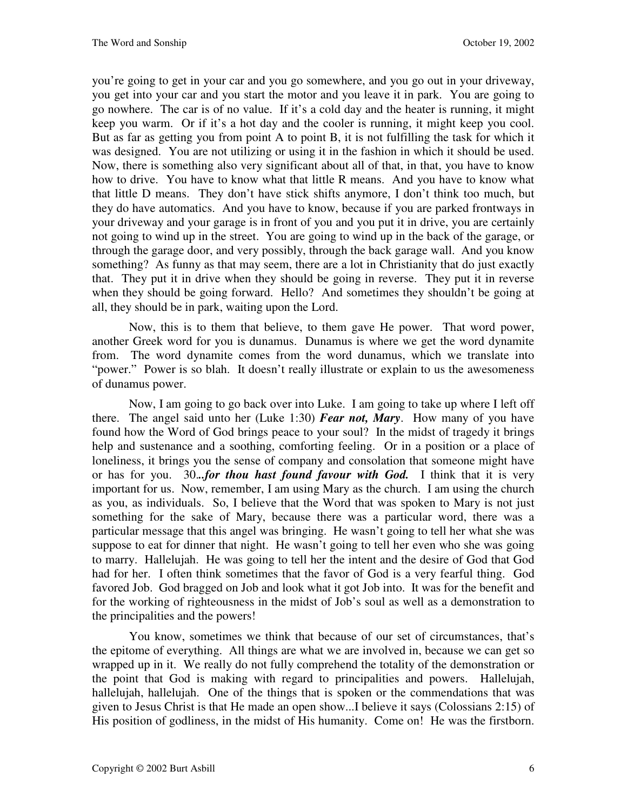you're going to get in your car and you go somewhere, and you go out in your driveway, you get into your car and you start the motor and you leave it in park. You are going to go nowhere. The car is of no value. If it's a cold day and the heater is running, it might keep you warm. Or if it's a hot day and the cooler is running, it might keep you cool. But as far as getting you from point A to point B, it is not fulfilling the task for which it was designed. You are not utilizing or using it in the fashion in which it should be used. Now, there is something also very significant about all of that, in that, you have to know how to drive. You have to know what that little R means. And you have to know what that little D means. They don't have stick shifts anymore, I don't think too much, but they do have automatics. And you have to know, because if you are parked frontways in your driveway and your garage is in front of you and you put it in drive, you are certainly not going to wind up in the street. You are going to wind up in the back of the garage, or through the garage door, and very possibly, through the back garage wall. And you know something? As funny as that may seem, there are a lot in Christianity that do just exactly that. They put it in drive when they should be going in reverse. They put it in reverse when they should be going forward. Hello? And sometimes they shouldn't be going at all, they should be in park, waiting upon the Lord.

Now, this is to them that believe, to them gave He power. That word power, another Greek word for you is dunamus. Dunamus is where we get the word dynamite from. The word dynamite comes from the word dunamus, which we translate into "power." Power is so blah. It doesn't really illustrate or explain to us the awesomeness of dunamus power.

Now, I am going to go back over into Luke. I am going to take up where I left off there. The angel said unto her (Luke 1:30) *Fear not, Mary*. How many of you have found how the Word of God brings peace to your soul? In the midst of tragedy it brings help and sustenance and a soothing, comforting feeling. Or in a position or a place of loneliness, it brings you the sense of company and consolation that someone might have or has for you. 30.*..for thou hast found favour with God.* I think that it is very important for us. Now, remember, I am using Mary as the church. I am using the church as you, as individuals. So, I believe that the Word that was spoken to Mary is not just something for the sake of Mary, because there was a particular word, there was a particular message that this angel was bringing. He wasn't going to tell her what she was suppose to eat for dinner that night. He wasn't going to tell her even who she was going to marry. Hallelujah. He was going to tell her the intent and the desire of God that God had for her. I often think sometimes that the favor of God is a very fearful thing. God favored Job. God bragged on Job and look what it got Job into. It was for the benefit and for the working of righteousness in the midst of Job's soul as well as a demonstration to the principalities and the powers!

You know, sometimes we think that because of our set of circumstances, that's the epitome of everything. All things are what we are involved in, because we can get so wrapped up in it. We really do not fully comprehend the totality of the demonstration or the point that God is making with regard to principalities and powers. Hallelujah, hallelujah, hallelujah. One of the things that is spoken or the commendations that was given to Jesus Christ is that He made an open show...I believe it says (Colossians 2:15) of His position of godliness, in the midst of His humanity. Come on! He was the firstborn.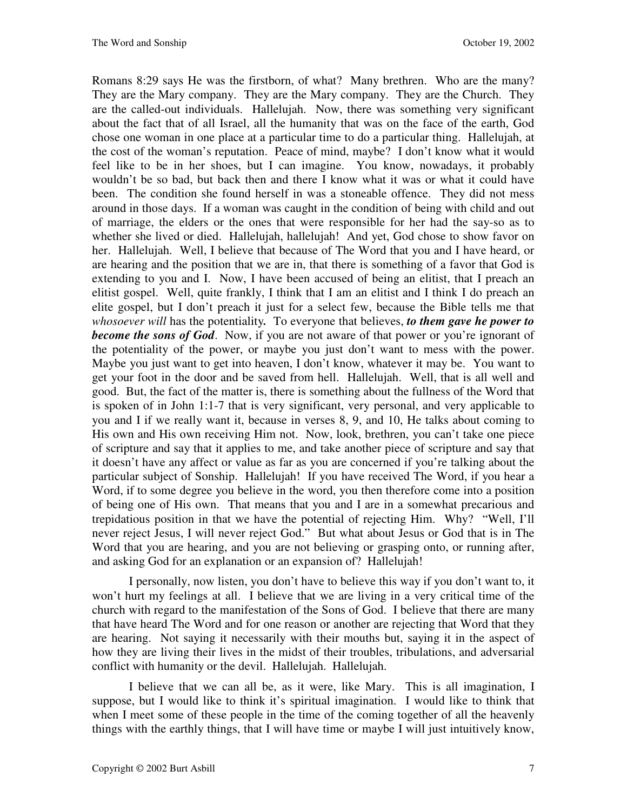Romans 8:29 says He was the firstborn, of what? Many brethren. Who are the many? They are the Mary company. They are the Mary company. They are the Church. They are the called-out individuals. Hallelujah. Now, there was something very significant about the fact that of all Israel, all the humanity that was on the face of the earth, God chose one woman in one place at a particular time to do a particular thing. Hallelujah, at the cost of the woman's reputation. Peace of mind, maybe? I don't know what it would feel like to be in her shoes, but I can imagine. You know, nowadays, it probably wouldn't be so bad, but back then and there I know what it was or what it could have been. The condition she found herself in was a stoneable offence. They did not mess around in those days. If a woman was caught in the condition of being with child and out of marriage, the elders or the ones that were responsible for her had the say-so as to whether she lived or died. Hallelujah, hallelujah! And yet, God chose to show favor on her. Hallelujah. Well, I believe that because of The Word that you and I have heard, or are hearing and the position that we are in, that there is something of a favor that God is extending to you and I. Now, I have been accused of being an elitist, that I preach an elitist gospel. Well, quite frankly, I think that I am an elitist and I think I do preach an elite gospel, but I don't preach it just for a select few, because the Bible tells me that *whosoever will* has the potentiality*.* To everyone that believes, *to them gave he power to become the sons of God.* Now, if you are not aware of that power or you're ignorant of the potentiality of the power, or maybe you just don't want to mess with the power. Maybe you just want to get into heaven, I don't know, whatever it may be. You want to get your foot in the door and be saved from hell. Hallelujah. Well, that is all well and good. But, the fact of the matter is, there is something about the fullness of the Word that is spoken of in John 1:1-7 that is very significant, very personal, and very applicable to you and I if we really want it, because in verses 8, 9, and 10, He talks about coming to His own and His own receiving Him not. Now, look, brethren, you can't take one piece of scripture and say that it applies to me, and take another piece of scripture and say that it doesn't have any affect or value as far as you are concerned if you're talking about the particular subject of Sonship. Hallelujah! If you have received The Word, if you hear a Word, if to some degree you believe in the word, you then therefore come into a position of being one of His own. That means that you and I are in a somewhat precarious and trepidatious position in that we have the potential of rejecting Him. Why? "Well, I'll never reject Jesus, I will never reject God." But what about Jesus or God that is in The Word that you are hearing, and you are not believing or grasping onto, or running after, and asking God for an explanation or an expansion of? Hallelujah!

I personally, now listen, you don't have to believe this way if you don't want to, it won't hurt my feelings at all. I believe that we are living in a very critical time of the church with regard to the manifestation of the Sons of God. I believe that there are many that have heard The Word and for one reason or another are rejecting that Word that they are hearing. Not saying it necessarily with their mouths but, saying it in the aspect of how they are living their lives in the midst of their troubles, tribulations, and adversarial conflict with humanity or the devil. Hallelujah. Hallelujah.

I believe that we can all be, as it were, like Mary. This is all imagination, I suppose, but I would like to think it's spiritual imagination. I would like to think that when I meet some of these people in the time of the coming together of all the heavenly things with the earthly things, that I will have time or maybe I will just intuitively know,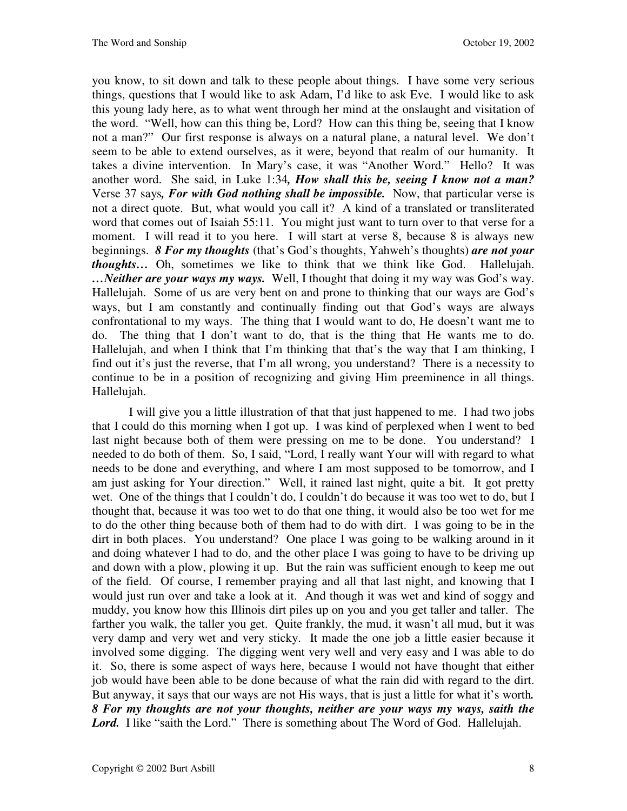you know, to sit down and talk to these people about things. I have some very serious things, questions that I would like to ask Adam, I'd like to ask Eve. I would like to ask this young lady here, as to what went through her mind at the onslaught and visitation of the word. "Well, how can this thing be, Lord? How can this thing be, seeing that I know not a man?" Our first response is always on a natural plane, a natural level. We don't seem to be able to extend ourselves, as it were, beyond that realm of our humanity. It takes a divine intervention. In Mary's case, it was "Another Word." Hello? It was another word. She said, in Luke 1:34*, How shall this be, seeing I know not a man?*  Verse 37 says*, For with God nothing shall be impossible.* Now, that particular verse is not a direct quote. But, what would you call it? A kind of a translated or transliterated word that comes out of Isaiah 55:11. You might just want to turn over to that verse for a moment. I will read it to you here. I will start at verse 8, because 8 is always new beginnings. *8 For my thoughts* (that's God's thoughts, Yahweh's thoughts) *are not your thoughts…* Oh, sometimes we like to think that we think like God. Hallelujah. *…Neither are your ways my ways.* Well, I thought that doing it my way was God's way. Hallelujah. Some of us are very bent on and prone to thinking that our ways are God's ways, but I am constantly and continually finding out that God's ways are always confrontational to my ways. The thing that I would want to do, He doesn't want me to do. The thing that I don't want to do, that is the thing that He wants me to do. Hallelujah, and when I think that I'm thinking that that's the way that I am thinking, I find out it's just the reverse, that I'm all wrong, you understand? There is a necessity to continue to be in a position of recognizing and giving Him preeminence in all things. Hallelujah.

I will give you a little illustration of that that just happened to me. I had two jobs that I could do this morning when I got up. I was kind of perplexed when I went to bed last night because both of them were pressing on me to be done. You understand? I needed to do both of them. So, I said, "Lord, I really want Your will with regard to what needs to be done and everything, and where I am most supposed to be tomorrow, and I am just asking for Your direction." Well, it rained last night, quite a bit. It got pretty wet. One of the things that I couldn't do, I couldn't do because it was too wet to do, but I thought that, because it was too wet to do that one thing, it would also be too wet for me to do the other thing because both of them had to do with dirt. I was going to be in the dirt in both places. You understand? One place I was going to be walking around in it and doing whatever I had to do, and the other place I was going to have to be driving up and down with a plow, plowing it up. But the rain was sufficient enough to keep me out of the field. Of course, I remember praying and all that last night, and knowing that I would just run over and take a look at it. And though it was wet and kind of soggy and muddy, you know how this Illinois dirt piles up on you and you get taller and taller. The farther you walk, the taller you get. Quite frankly, the mud, it wasn't all mud, but it was very damp and very wet and very sticky. It made the one job a little easier because it involved some digging. The digging went very well and very easy and I was able to do it. So, there is some aspect of ways here, because I would not have thought that either job would have been able to be done because of what the rain did with regard to the dirt. But anyway, it says that our ways are not His ways, that is just a little for what it's worth*. 8 For my thoughts are not your thoughts, neither are your ways my ways, saith the*  Lord. I like "saith the Lord." There is something about The Word of God. Hallelujah.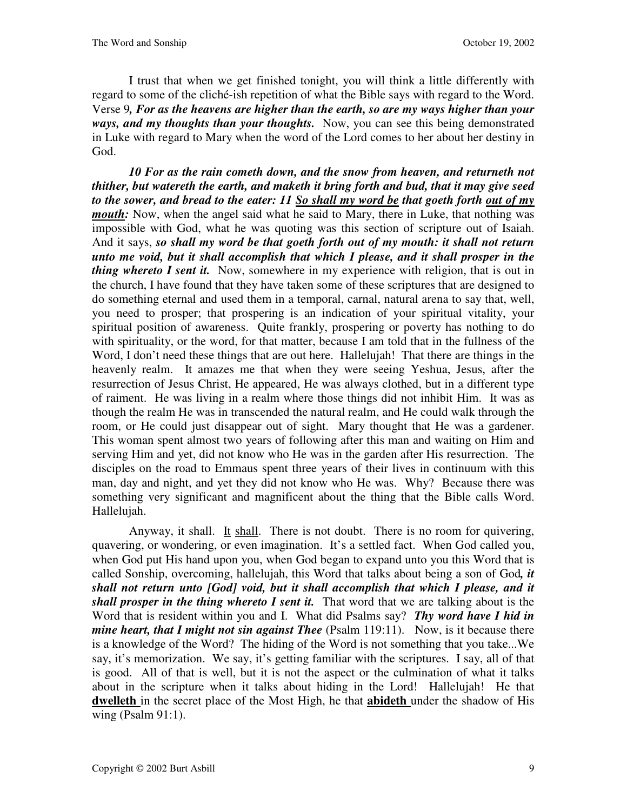I trust that when we get finished tonight, you will think a little differently with regard to some of the cliché-ish repetition of what the Bible says with regard to the Word. Verse 9*, For as the heavens are higher than the earth, so are my ways higher than your ways, and my thoughts than your thoughts.* Now, you can see this being demonstrated in Luke with regard to Mary when the word of the Lord comes to her about her destiny in God.

*10 For as the rain cometh down, and the snow from heaven, and returneth not thither, but watereth the earth, and maketh it bring forth and bud, that it may give seed to the sower, and bread to the eater: 11 So shall my word be that goeth forth out of my mouth:* Now, when the angel said what he said to Mary, there in Luke, that nothing was impossible with God, what he was quoting was this section of scripture out of Isaiah. And it says, *so shall my word be that goeth forth out of my mouth: it shall not return unto me void, but it shall accomplish that which I please, and it shall prosper in the thing whereto I sent it.* Now, somewhere in my experience with religion, that is out in the church, I have found that they have taken some of these scriptures that are designed to do something eternal and used them in a temporal, carnal, natural arena to say that, well, you need to prosper; that prospering is an indication of your spiritual vitality, your spiritual position of awareness. Quite frankly, prospering or poverty has nothing to do with spirituality, or the word, for that matter, because I am told that in the fullness of the Word, I don't need these things that are out here. Hallelujah! That there are things in the heavenly realm. It amazes me that when they were seeing Yeshua, Jesus, after the resurrection of Jesus Christ, He appeared, He was always clothed, but in a different type of raiment. He was living in a realm where those things did not inhibit Him. It was as though the realm He was in transcended the natural realm, and He could walk through the room, or He could just disappear out of sight. Mary thought that He was a gardener. This woman spent almost two years of following after this man and waiting on Him and serving Him and yet, did not know who He was in the garden after His resurrection. The disciples on the road to Emmaus spent three years of their lives in continuum with this man, day and night, and yet they did not know who He was. Why? Because there was something very significant and magnificent about the thing that the Bible calls Word. Hallelujah.

Anyway, it shall. It shall. There is not doubt. There is no room for quivering, quavering, or wondering, or even imagination. It's a settled fact. When God called you, when God put His hand upon you, when God began to expand unto you this Word that is called Sonship, overcoming, hallelujah, this Word that talks about being a son of God*, it shall not return unto [God] void, but it shall accomplish that which I please, and it shall prosper in the thing whereto I sent it.* That word that we are talking about is the Word that is resident within you and I. What did Psalms say? *Thy word have I hid in mine heart, that I might not sin against Thee* (Psalm 119:11). Now, is it because there is a knowledge of the Word? The hiding of the Word is not something that you take...We say, it's memorization. We say, it's getting familiar with the scriptures. I say, all of that is good. All of that is well, but it is not the aspect or the culmination of what it talks about in the scripture when it talks about hiding in the Lord! Hallelujah! He that **dwelleth** in the secret place of the Most High, he that **abideth** under the shadow of His wing (Psalm 91:1).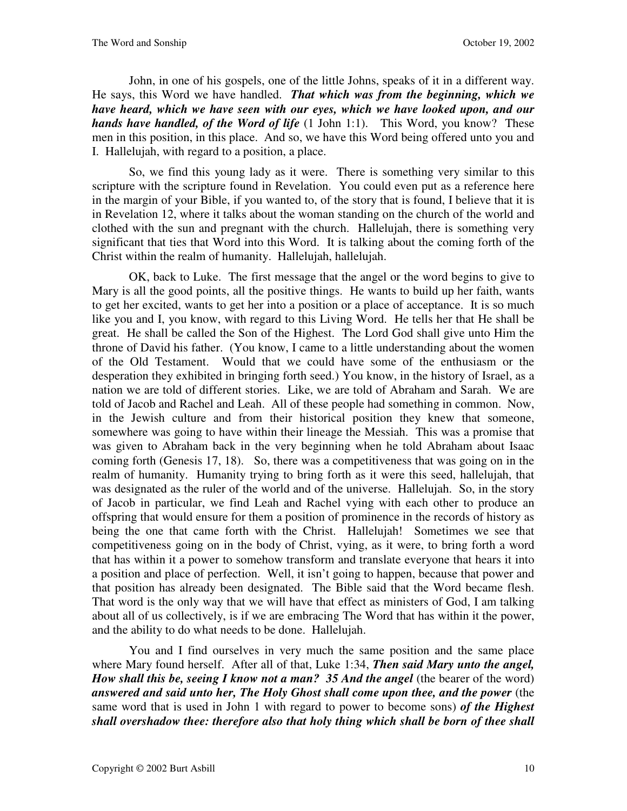John, in one of his gospels, one of the little Johns, speaks of it in a different way. He says, this Word we have handled. *That which was from the beginning, which we have heard, which we have seen with our eyes, which we have looked upon, and our hands have handled, of the Word of life* (1 John 1:1). This Word, you know? These men in this position, in this place. And so, we have this Word being offered unto you and I. Hallelujah, with regard to a position, a place.

So, we find this young lady as it were. There is something very similar to this scripture with the scripture found in Revelation. You could even put as a reference here in the margin of your Bible, if you wanted to, of the story that is found, I believe that it is in Revelation 12, where it talks about the woman standing on the church of the world and clothed with the sun and pregnant with the church. Hallelujah, there is something very significant that ties that Word into this Word. It is talking about the coming forth of the Christ within the realm of humanity. Hallelujah, hallelujah.

OK, back to Luke. The first message that the angel or the word begins to give to Mary is all the good points, all the positive things. He wants to build up her faith, wants to get her excited, wants to get her into a position or a place of acceptance. It is so much like you and I, you know, with regard to this Living Word. He tells her that He shall be great. He shall be called the Son of the Highest. The Lord God shall give unto Him the throne of David his father. (You know, I came to a little understanding about the women of the Old Testament. Would that we could have some of the enthusiasm or the desperation they exhibited in bringing forth seed.) You know, in the history of Israel, as a nation we are told of different stories. Like, we are told of Abraham and Sarah. We are told of Jacob and Rachel and Leah. All of these people had something in common. Now, in the Jewish culture and from their historical position they knew that someone, somewhere was going to have within their lineage the Messiah. This was a promise that was given to Abraham back in the very beginning when he told Abraham about Isaac coming forth (Genesis 17, 18). So, there was a competitiveness that was going on in the realm of humanity. Humanity trying to bring forth as it were this seed, hallelujah, that was designated as the ruler of the world and of the universe. Hallelujah. So, in the story of Jacob in particular, we find Leah and Rachel vying with each other to produce an offspring that would ensure for them a position of prominence in the records of history as being the one that came forth with the Christ. Hallelujah! Sometimes we see that competitiveness going on in the body of Christ, vying, as it were, to bring forth a word that has within it a power to somehow transform and translate everyone that hears it into a position and place of perfection. Well, it isn't going to happen, because that power and that position has already been designated. The Bible said that the Word became flesh. That word is the only way that we will have that effect as ministers of God, I am talking about all of us collectively, is if we are embracing The Word that has within it the power, and the ability to do what needs to be done. Hallelujah.

You and I find ourselves in very much the same position and the same place where Mary found herself. After all of that, Luke 1:34, *Then said Mary unto the angel, How shall this be, seeing I know not a man?* 35 And the angel (the bearer of the word) answered and said unto her, The Holy Ghost shall come upon thee, and the power (the same word that is used in John 1 with regard to power to become sons) *of the Highest shall overshadow thee: therefore also that holy thing which shall be born of thee shall*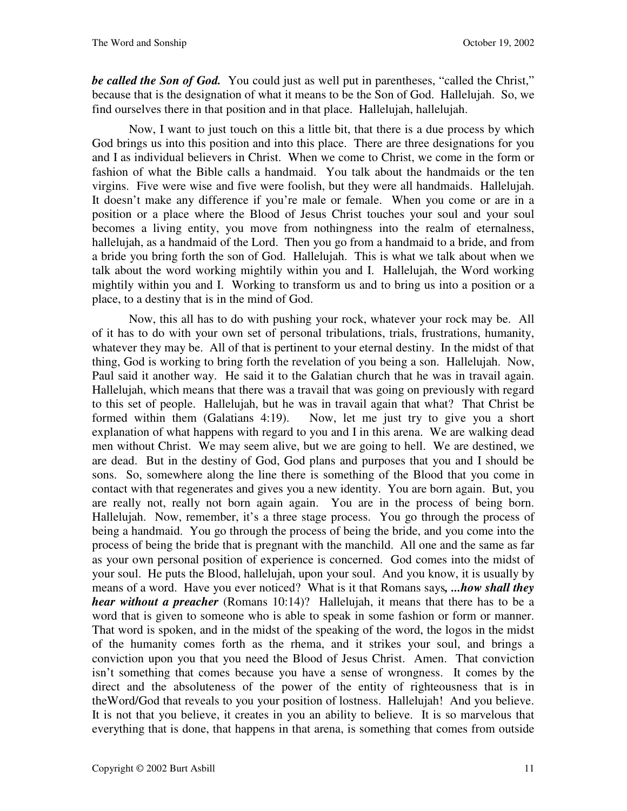*be called the Son of God.* You could just as well put in parentheses, "called the Christ," because that is the designation of what it means to be the Son of God. Hallelujah. So, we find ourselves there in that position and in that place. Hallelujah, hallelujah.

Now, I want to just touch on this a little bit, that there is a due process by which God brings us into this position and into this place. There are three designations for you and I as individual believers in Christ. When we come to Christ, we come in the form or fashion of what the Bible calls a handmaid. You talk about the handmaids or the ten virgins. Five were wise and five were foolish, but they were all handmaids. Hallelujah. It doesn't make any difference if you're male or female. When you come or are in a position or a place where the Blood of Jesus Christ touches your soul and your soul becomes a living entity, you move from nothingness into the realm of eternalness, hallelujah, as a handmaid of the Lord. Then you go from a handmaid to a bride, and from a bride you bring forth the son of God. Hallelujah. This is what we talk about when we talk about the word working mightily within you and I. Hallelujah, the Word working mightily within you and I. Working to transform us and to bring us into a position or a place, to a destiny that is in the mind of God.

Now, this all has to do with pushing your rock, whatever your rock may be. All of it has to do with your own set of personal tribulations, trials, frustrations, humanity, whatever they may be. All of that is pertinent to your eternal destiny. In the midst of that thing, God is working to bring forth the revelation of you being a son. Hallelujah. Now, Paul said it another way. He said it to the Galatian church that he was in travail again. Hallelujah, which means that there was a travail that was going on previously with regard to this set of people. Hallelujah, but he was in travail again that what? That Christ be formed within them (Galatians 4:19). Now, let me just try to give you a short explanation of what happens with regard to you and I in this arena. We are walking dead men without Christ. We may seem alive, but we are going to hell. We are destined, we are dead. But in the destiny of God, God plans and purposes that you and I should be sons. So, somewhere along the line there is something of the Blood that you come in contact with that regenerates and gives you a new identity. You are born again. But, you are really not, really not born again again. You are in the process of being born. Hallelujah. Now, remember, it's a three stage process. You go through the process of being a handmaid. You go through the process of being the bride, and you come into the process of being the bride that is pregnant with the manchild. All one and the same as far as your own personal position of experience is concerned. God comes into the midst of your soul. He puts the Blood, hallelujah, upon your soul. And you know, it is usually by means of a word. Have you ever noticed? What is it that Romans says*, ...how shall they hear without a preacher* (Romans 10:14)? Hallelujah, it means that there has to be a word that is given to someone who is able to speak in some fashion or form or manner. That word is spoken, and in the midst of the speaking of the word, the logos in the midst of the humanity comes forth as the rhema, and it strikes your soul, and brings a conviction upon you that you need the Blood of Jesus Christ. Amen. That conviction isn't something that comes because you have a sense of wrongness. It comes by the direct and the absoluteness of the power of the entity of righteousness that is in theWord/God that reveals to you your position of lostness. Hallelujah! And you believe. It is not that you believe, it creates in you an ability to believe. It is so marvelous that everything that is done, that happens in that arena, is something that comes from outside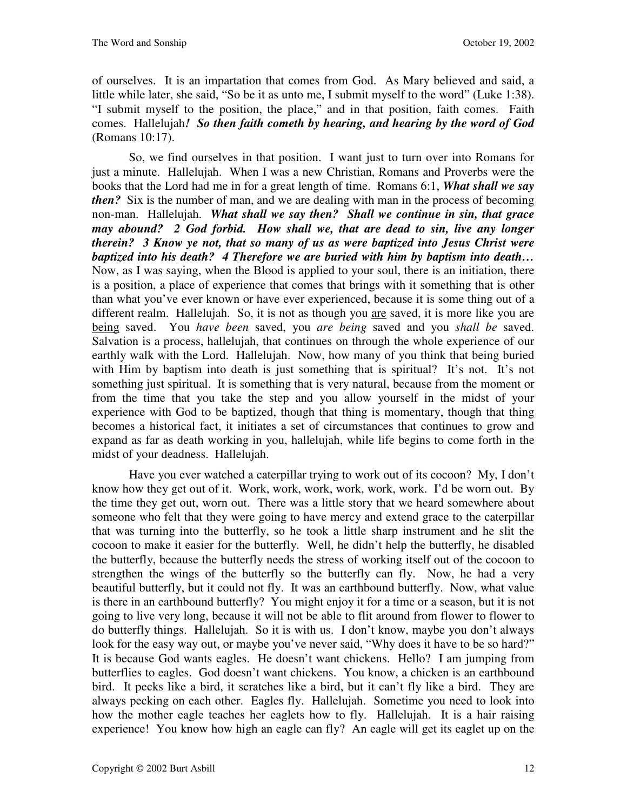of ourselves. It is an impartation that comes from God. As Mary believed and said, a little while later, she said, "So be it as unto me, I submit myself to the word" (Luke 1:38). "I submit myself to the position, the place," and in that position, faith comes. Faith comes. Hallelujah*! So then faith cometh by hearing, and hearing by the word of God*  (Romans 10:17).

So, we find ourselves in that position. I want just to turn over into Romans for just a minute. Hallelujah. When I was a new Christian, Romans and Proverbs were the books that the Lord had me in for a great length of time. Romans 6:1, *What shall we say then?* Six is the number of man, and we are dealing with man in the process of becoming non-man. Hallelujah. *What shall we say then? Shall we continue in sin, that grace may abound? 2 God forbid. How shall we, that are dead to sin, live any longer therein? 3 Know ye not, that so many of us as were baptized into Jesus Christ were baptized into his death? 4 Therefore we are buried with him by baptism into death…*  Now, as I was saying, when the Blood is applied to your soul, there is an initiation, there is a position, a place of experience that comes that brings with it something that is other than what you've ever known or have ever experienced, because it is some thing out of a different realm. Hallelujah. So, it is not as though you are saved, it is more like you are being saved. You *have been* saved, you *are being* saved and you *shall be* saved. Salvation is a process, hallelujah, that continues on through the whole experience of our earthly walk with the Lord. Hallelujah. Now, how many of you think that being buried with Him by baptism into death is just something that is spiritual? It's not. It's not something just spiritual. It is something that is very natural, because from the moment or from the time that you take the step and you allow yourself in the midst of your experience with God to be baptized, though that thing is momentary, though that thing becomes a historical fact, it initiates a set of circumstances that continues to grow and expand as far as death working in you, hallelujah, while life begins to come forth in the midst of your deadness. Hallelujah.

Have you ever watched a caterpillar trying to work out of its cocoon? My, I don't know how they get out of it. Work, work, work, work, work, work. I'd be worn out. By the time they get out, worn out. There was a little story that we heard somewhere about someone who felt that they were going to have mercy and extend grace to the caterpillar that was turning into the butterfly, so he took a little sharp instrument and he slit the cocoon to make it easier for the butterfly. Well, he didn't help the butterfly, he disabled the butterfly, because the butterfly needs the stress of working itself out of the cocoon to strengthen the wings of the butterfly so the butterfly can fly. Now, he had a very beautiful butterfly, but it could not fly. It was an earthbound butterfly. Now, what value is there in an earthbound butterfly? You might enjoy it for a time or a season, but it is not going to live very long, because it will not be able to flit around from flower to flower to do butterfly things. Hallelujah. So it is with us. I don't know, maybe you don't always look for the easy way out, or maybe you've never said, "Why does it have to be so hard?" It is because God wants eagles. He doesn't want chickens. Hello? I am jumping from butterflies to eagles. God doesn't want chickens. You know, a chicken is an earthbound bird. It pecks like a bird, it scratches like a bird, but it can't fly like a bird. They are always pecking on each other. Eagles fly. Hallelujah. Sometime you need to look into how the mother eagle teaches her eaglets how to fly. Hallelujah. It is a hair raising experience! You know how high an eagle can fly? An eagle will get its eaglet up on the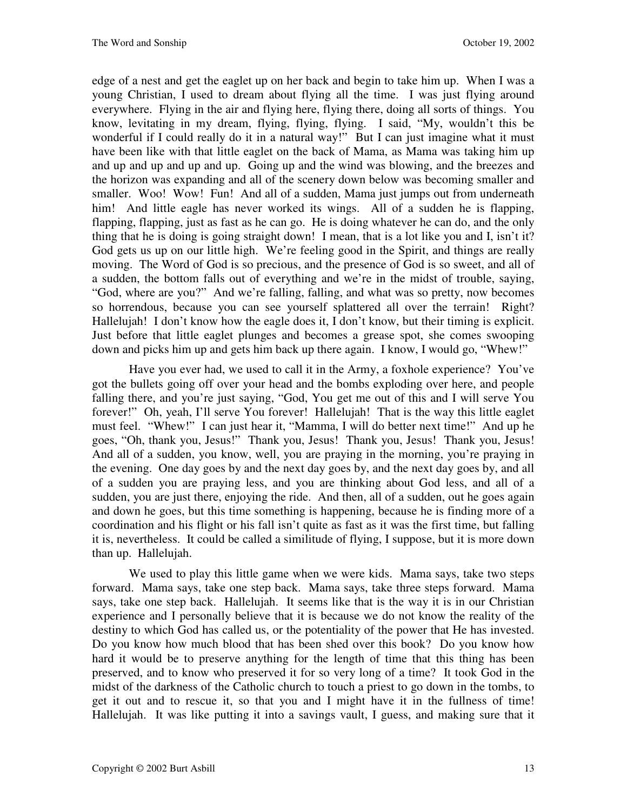edge of a nest and get the eaglet up on her back and begin to take him up. When I was a young Christian, I used to dream about flying all the time. I was just flying around everywhere. Flying in the air and flying here, flying there, doing all sorts of things. You know, levitating in my dream, flying, flying, flying. I said, "My, wouldn't this be wonderful if I could really do it in a natural way!" But I can just imagine what it must have been like with that little eaglet on the back of Mama, as Mama was taking him up and up and up and up and up. Going up and the wind was blowing, and the breezes and the horizon was expanding and all of the scenery down below was becoming smaller and smaller. Woo! Wow! Fun! And all of a sudden, Mama just jumps out from underneath him! And little eagle has never worked its wings. All of a sudden he is flapping, flapping, flapping, just as fast as he can go. He is doing whatever he can do, and the only thing that he is doing is going straight down! I mean, that is a lot like you and I, isn't it? God gets us up on our little high. We're feeling good in the Spirit, and things are really moving. The Word of God is so precious, and the presence of God is so sweet, and all of a sudden, the bottom falls out of everything and we're in the midst of trouble, saying, "God, where are you?" And we're falling, falling, and what was so pretty, now becomes so horrendous, because you can see yourself splattered all over the terrain! Right? Hallelujah! I don't know how the eagle does it, I don't know, but their timing is explicit. Just before that little eaglet plunges and becomes a grease spot, she comes swooping down and picks him up and gets him back up there again. I know, I would go, "Whew!"

Have you ever had, we used to call it in the Army, a foxhole experience? You've got the bullets going off over your head and the bombs exploding over here, and people falling there, and you're just saying, "God, You get me out of this and I will serve You forever!" Oh, yeah, I'll serve You forever! Hallelujah! That is the way this little eaglet must feel. "Whew!" I can just hear it, "Mamma, I will do better next time!" And up he goes, "Oh, thank you, Jesus!" Thank you, Jesus! Thank you, Jesus! Thank you, Jesus! And all of a sudden, you know, well, you are praying in the morning, you're praying in the evening. One day goes by and the next day goes by, and the next day goes by, and all of a sudden you are praying less, and you are thinking about God less, and all of a sudden, you are just there, enjoying the ride. And then, all of a sudden, out he goes again and down he goes, but this time something is happening, because he is finding more of a coordination and his flight or his fall isn't quite as fast as it was the first time, but falling it is, nevertheless. It could be called a similitude of flying, I suppose, but it is more down than up. Hallelujah.

We used to play this little game when we were kids. Mama says, take two steps forward. Mama says, take one step back. Mama says, take three steps forward. Mama says, take one step back. Hallelujah. It seems like that is the way it is in our Christian experience and I personally believe that it is because we do not know the reality of the destiny to which God has called us, or the potentiality of the power that He has invested. Do you know how much blood that has been shed over this book? Do you know how hard it would be to preserve anything for the length of time that this thing has been preserved, and to know who preserved it for so very long of a time? It took God in the midst of the darkness of the Catholic church to touch a priest to go down in the tombs, to get it out and to rescue it, so that you and I might have it in the fullness of time! Hallelujah. It was like putting it into a savings vault, I guess, and making sure that it